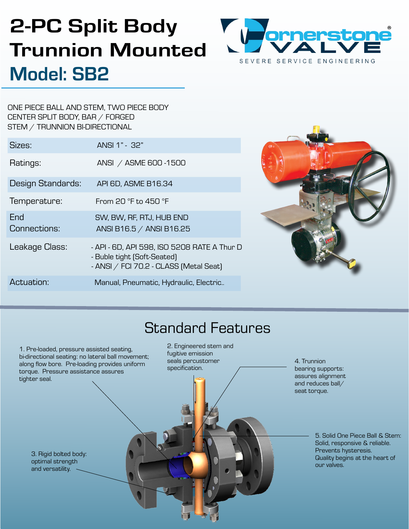# 2-PC Split Body Trunnion Mounted Model: SB2



ONE PIECE BALL AND STEM, TWO PIECE BODY CENTER SPLIT BODY, BAR / FORGED STEM / TRUNNION BI-DIRECTIONAL

| Sizes:              | ANSI 1" - 32"                                                                                                        |
|---------------------|----------------------------------------------------------------------------------------------------------------------|
| Ratings:            | ANSI / ASME 600-1500                                                                                                 |
| Design Standards:   | API 6D, ASME B16.34                                                                                                  |
| Temperature:        | From 20 °F to 450 °F                                                                                                 |
| End<br>Connections: | SW, BW, RF, RTJ, HUB END<br>ANSI B16.5 / ANSI B16.25                                                                 |
| Leakage Class:      | - API - 6D, API 598, ISO 5208 RATE A Thur D<br>- Buble tight (Soft-Seated)<br>- ANSI / FCI 70.2 - CLASS [Metal Seat] |
| Actuation:          | Manual, Pneumatic, Hydraulic, Electric                                                                               |



## Standard Features